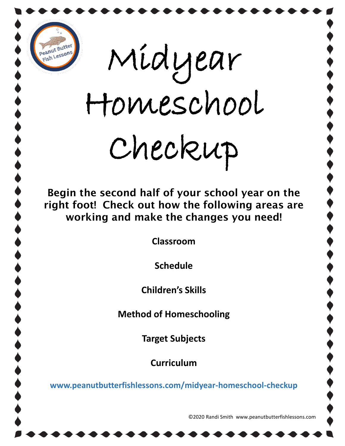

Midyear Homeschool Checkup

Begin the second half of your school year on the right foot! Check out how the following areas are working and make the changes you need!

**Classroom**

**Schedule**

**Children's Skills**

**Method of Homeschooling**

**Target Subjects**

**Curriculum**

**[www.peanutbutterfishlessons.com/midyear-homeschool-checkup](https://wp.me/p84QnK-1r4)**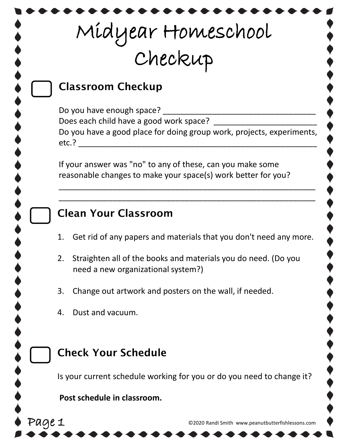# Midyear Homeschool Checkup

### Classroom Checkup

Do you have enough space? Does each child have a good work space? Do you have a good place for doing group work, projects, experiments, etc.? \_\_\_\_\_\_\_\_\_\_\_\_\_\_\_\_\_\_\_\_\_\_\_\_\_\_\_\_\_\_\_\_\_\_\_\_\_\_\_\_\_\_\_\_\_\_\_\_\_\_\_\_\_

If your answer was "no" to any of these, can you make some reasonable changes to make your space(s) work better for you?

#### Clean Your Classroom

1. Get rid of any papers and materials that you don't need any more.

\_\_\_\_\_\_\_\_\_\_\_\_\_\_\_\_\_\_\_\_\_\_\_\_\_\_\_\_\_\_\_\_\_\_\_\_\_\_\_\_\_\_\_\_\_\_\_\_\_\_\_\_\_\_\_\_\_ \_\_\_\_\_\_\_\_\_\_\_\_\_\_\_\_\_\_\_\_\_\_\_\_\_\_\_\_\_\_\_\_\_\_\_\_\_\_\_\_\_\_\_\_\_\_\_\_\_\_\_\_\_\_\_\_\_

- 2. Straighten all of the books and materials you do need. (Do you need a new organizational system?)
- 3. Change out artwork and posters on the wall, if needed.
- 4. Dust and vacuum.

#### Check Your Schedule

Is your current schedule working for you or do you need to change it?

**Post schedule in classroom.**

 $\mathcal{P}\mathcal{A}\mathcal{O}$   $\mathcal{C}% _{\mathcal{A}}^{(n)}$   $\mathcal{A}% _{\mathcal{A}}^{(n)}$   $\mathcal{A}% _{\mathcal{A}}^{(n)}$   $\mathcal{A}% _{\mathcal{A}}^{(n)}$   $\mathcal{A}_{\mathcal{A}}^{(n)}$   $\mathcal{A}_{\mathcal{A}}^{(n)}$   $\mathcal{A}_{\mathcal{A}}^{(n)}$   $\mathcal{A}_{\mathcal{A}}^{(n)}$   $\mathcal{A}_{\mathcal{A}}^{(n)}$   $\mathcal{A}_{\mathcal{A}}^{(n)}$   $\mathcal{A}_{\$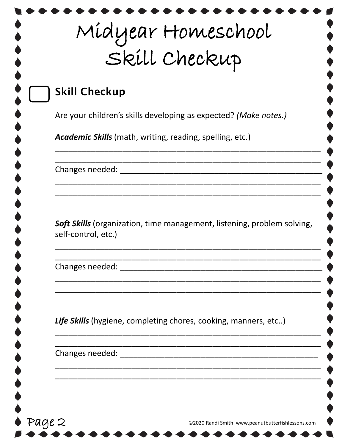## Midyear Homeschool Skill Checkup

### **Skill Checkup**

Are your children's skills developing as expected? (Make notes.)

Academic Skills (math, writing, reading, spelling, etc.)

Changes needed:

Soft Skills (organization, time management, listening, problem solving, self-control, etc.)

Changes needed:

Life Skills (hygiene, completing chores, cooking, manners, etc..)

Changes needed:

Page 2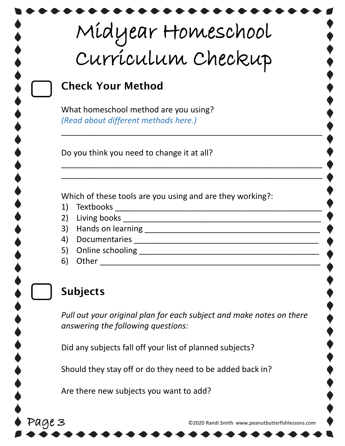| Midyear Homeschool                                                                                                                                                       |
|--------------------------------------------------------------------------------------------------------------------------------------------------------------------------|
| Curriculum Checkup                                                                                                                                                       |
| <b>Check Your Method</b>                                                                                                                                                 |
| What homeschool method are you using?<br>(Read about different methods here.)                                                                                            |
| Do you think you need to change it at all?                                                                                                                               |
| Which of these tools are you using and are they working?:<br>Textbooks<br>1)<br>Living books<br>2)<br>3)<br>Documentaries<br>4)<br>Online schooling<br>5)<br>Other<br>6) |
| <b>Subjects</b>                                                                                                                                                          |
| Pull out your original plan for each subject and make notes on there<br>answering the following questions:                                                               |
| Did any subjects fall off your list of planned subjects?                                                                                                                 |
| Should they stay off or do they need to be added back in?                                                                                                                |

Are there new subjects you want to add?

Page 3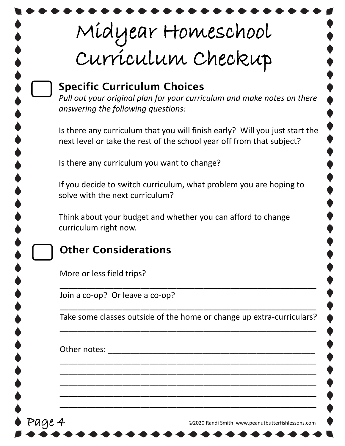# Midyear Homeschool Curriculum Checkup

Specific Curriculum Choices

*Pull out your original plan for your curriculum and make notes on there answering the following questions:*

Is there any curriculum that you will finish early? Will you just start the next level or take the rest of the school year off from that subject?

Is there any curriculum you want to change?

If you decide to switch curriculum, what problem you are hoping to solve with the next curriculum?

Think about your budget and whether you can afford to change curriculum right now.

### Other Considerations

More or less field trips?

Join a co-op? Or leave a co-op?

\_\_\_\_\_\_\_\_\_\_\_\_\_\_\_\_\_\_\_\_\_\_\_\_\_\_\_\_\_\_\_\_\_\_\_\_\_\_\_\_\_\_\_\_\_\_\_\_\_\_\_\_\_\_\_\_\_ Take some classes outside of the home or change up extra-curriculars? \_\_\_\_\_\_\_\_\_\_\_\_\_\_\_\_\_\_\_\_\_\_\_\_\_\_\_\_\_\_\_\_\_\_\_\_\_\_\_\_\_\_\_\_\_\_\_\_\_\_\_\_\_\_\_\_\_

\_\_\_\_\_\_\_\_\_\_\_\_\_\_\_\_\_\_\_\_\_\_\_\_\_\_\_\_\_\_\_\_\_\_\_\_\_\_\_\_\_\_\_\_\_\_\_\_\_\_\_\_\_\_\_\_\_ \_\_\_\_\_\_\_\_\_\_\_\_\_\_\_\_\_\_\_\_\_\_\_\_\_\_\_\_\_\_\_\_\_\_\_\_\_\_\_\_\_\_\_\_\_\_\_\_\_\_\_\_\_\_\_\_\_ \_\_\_\_\_\_\_\_\_\_\_\_\_\_\_\_\_\_\_\_\_\_\_\_\_\_\_\_\_\_\_\_\_\_\_\_\_\_\_\_\_\_\_\_\_\_\_\_\_\_\_\_\_\_\_\_\_ \_\_\_\_\_\_\_\_\_\_\_\_\_\_\_\_\_\_\_\_\_\_\_\_\_\_\_\_\_\_\_\_\_\_\_\_\_\_\_\_\_\_\_\_\_\_\_\_\_\_\_\_\_\_\_\_\_ \_\_\_\_\_\_\_\_\_\_\_\_\_\_\_\_\_\_\_\_\_\_\_\_\_\_\_\_\_\_\_\_\_\_\_\_\_\_\_\_\_\_\_\_\_\_\_\_\_\_\_\_\_\_\_\_\_

\_\_\_\_\_\_\_\_\_\_\_\_\_\_\_\_\_\_\_\_\_\_\_\_\_\_\_\_\_\_\_\_\_\_\_\_\_\_\_\_\_\_\_\_\_\_\_\_\_\_\_\_\_\_\_\_\_

Other notes:

Page 4